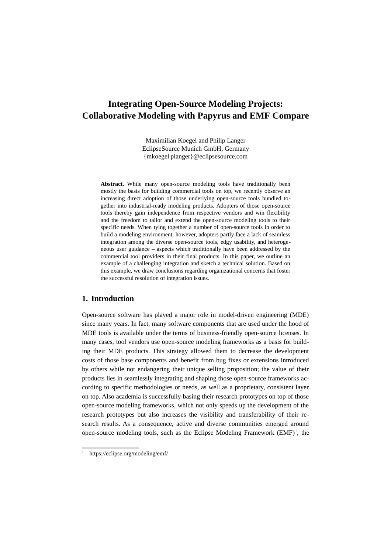# **Integrating Open-Source Modeling Projects: Collaborative Modeling with Papyrus and EMF Compare**

Maximilian Koegel and Philip Langer EclipseSource Munich GmbH, Germany [{mkoegel|planger}@eclipsesource.com](mailto:%7Bmkoegel%7Cplanger%7D@eclipsesource.com)

**Abstract.** While many open-source modeling tools have traditionally been mostly the basis for building commercial tools on top, we recently observe an increasing direct adoption of those underlying open-source tools bundled together into industrial-ready modeling products. Adopters of those open-source tools thereby gain independence from respective vendors and win flexibility and the freedom to tailor and extend the open-source modeling tools to their specific needs. When tying together a number of open-source tools in order to build a modeling environment, however, adopters partly face a lack of seamless integration among the diverse open-source tools, edgy usability, and heterogeneous user guidance – aspects which traditionally have been addressed by the commercial tool providers in their final products. In this paper, we outline an example of a challenging integration and sketch a technical solution. Based on this example, we draw conclusions regarding organizational concerns that foster the successful resolution of integration issues.

## **1. Introduction**

Open-source software has played a major role in model-driven engineering (MDE) since many years. In fact, many software components that are used under the hood of MDE tools is available under the terms of business-friendly open-source licenses. In many cases, tool vendors use open-source modeling frameworks as a basis for building their MDE products. This strategy allowed them to decrease the development costs of those base components and benefit from bug fixes or extensions introduced by others while not endangering their unique selling proposition; the value of their products lies in seamlessly integrating and shaping those open-source frameworks according to specific methodologies or needs, as well as a proprietary, consistent layer on top. Also academia is successfully basing their research prototypes on top of those open-source modeling frameworks, which not only speeds up the development of the research prototypes but also increases the visibility and transferability of their research results. As a consequence, active and diverse communities emerged around open-source modeling tools, such as the Eclipse Modeling Framework  $(EMF)^1$  $(EMF)^1$ , the

<span id="page-0-0"></span><sup>1</sup> <https://eclipse.org/modeling/emf/>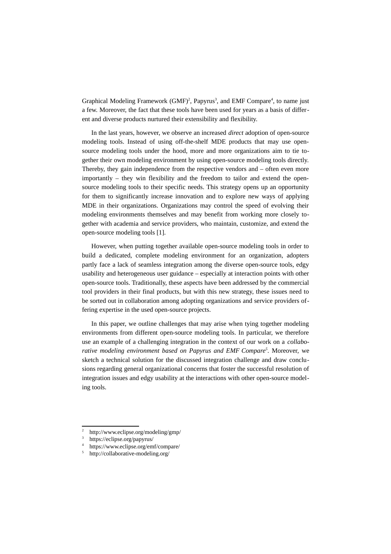Graphical Modeling Framework (GMF)<sup>[2](#page-1-0)</sup>, Papyrus<sup>[3](#page-1-1)</sup>, and EMF Compare<sup>[4](#page-1-2)</sup>, to name just a few. Moreover, the fact that these tools have been used for years as a basis of different and diverse products nurtured their extensibility and flexibility.

In the last years, however, we observe an increased *direct* adoption of open-source modeling tools. Instead of using off-the-shelf MDE products that may use opensource modeling tools under the hood, more and more organizations aim to tie together their own modeling environment by using open-source modeling tools directly. Thereby, they gain independence from the respective vendors and – often even more importantly – they win flexibility and the freedom to tailor and extend the opensource modeling tools to their specific needs. This strategy opens up an opportunity for them to significantly increase innovation and to explore new ways of applying MDE in their organizations. Organizations may control the speed of evolving their modeling environments themselves and may benefit from working more closely together with academia and service providers, who maintain, customize, and extend the open-source modeling tools [1].

However, when putting together available open-source modeling tools in order to build a dedicated, complete modeling environment for an organization, adopters partly face a lack of seamless integration among the diverse open-source tools, edgy usability and heterogeneous user guidance – especially at interaction points with other open-source tools. Traditionally, these aspects have been addressed by the commercial tool providers in their final products, but with this new strategy, these issues need to be sorted out in collaboration among adopting organizations and service providers offering expertise in the used open-source projects.

In this paper, we outline challenges that may arise when tying together modeling environments from different open-source modeling tools. In particular, we therefore use an example of a challenging integration in the context of our work on a *collaborative modeling environment based on Papyrus and EMF Compare[5](#page-1-3)* . Moreover, we sketch a technical solution for the discussed integration challenge and draw conclusions regarding general organizational concerns that foster the successful resolution of integration issues and edgy usability at the interactions with other open-source modeling tools.

<span id="page-1-0"></span><sup>2</sup> http://www.eclipse.org/modeling/gmp/

<span id="page-1-1"></span><sup>3</sup> https://eclipse.org/papyrus/

<span id="page-1-2"></span><sup>4</sup> https://www.eclipse.org/emf/compare/

<span id="page-1-3"></span><sup>5</sup> http://collaborative-modeling.org/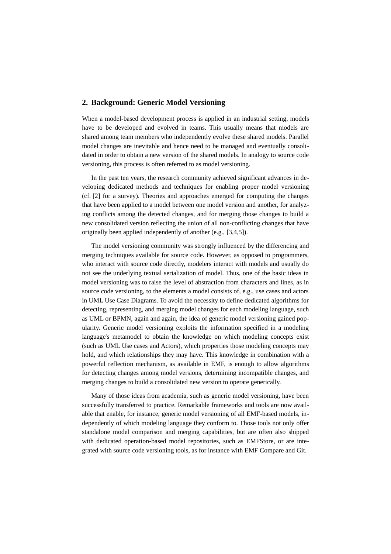### **2. Background: Generic Model Versioning**

When a model-based development process is applied in an industrial setting, models have to be developed and evolved in teams. This usually means that models are shared among team members who independently evolve these shared models. Parallel model changes are inevitable and hence need to be managed and eventually consolidated in order to obtain a new version of the shared models. In analogy to source code versioning, this process is often referred to as model versioning.

In the past ten years, the research community achieved significant advances in developing dedicated methods and techniques for enabling proper model versioning (cf. [2] for a survey). Theories and approaches emerged for computing the changes that have been applied to a model between one model version and another, for analyzing conflicts among the detected changes, and for merging those changes to build a new consolidated version reflecting the union of all non-conflicting changes that have originally been applied independently of another (e.g., [3,4,5]).

The model versioning community was strongly influenced by the differencing and merging techniques available for source code. However, as opposed to programmers, who interact with source code directly, modelers interact with models and usually do not see the underlying textual serialization of model. Thus, one of the basic ideas in model versioning was to raise the level of abstraction from characters and lines, as in source code versioning, to the elements a model consists of, e.g., use cases and actors in UML Use Case Diagrams. To avoid the necessity to define dedicated algorithms for detecting, representing, and merging model changes for each modeling language, such as UML or BPMN, again and again, the idea of generic model versioning gained popularity. Generic model versioning exploits the information specified in a modeling language's metamodel to obtain the knowledge on which modeling concepts exist (such as UML Use cases and Actors), which properties those modeling concepts may hold, and which relationships they may have. This knowledge in combination with a powerful reflection mechanism, as available in EMF, is enough to allow algorithms for detecting changes among model versions, determining incompatible changes, and merging changes to build a consolidated new version to operate generically.

Many of those ideas from academia, such as generic model versioning, have been successfully transferred to practice. Remarkable frameworks and tools are now available that enable, for instance, generic model versioning of all EMF-based models, independently of which modeling language they conform to. Those tools not only offer standalone model comparison and merging capabilities, but are often also shipped with dedicated operation-based model repositories, such as EMFStore, or are integrated with source code versioning tools, as for instance with EMF Compare and Git.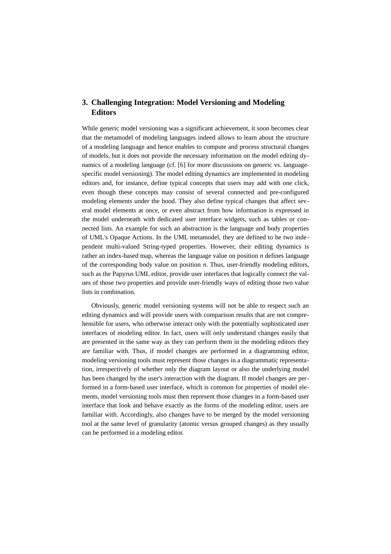## **3. Challenging Integration: Model Versioning and Modeling Editors**

While generic model versioning was a significant achievement, it soon becomes clear that the metamodel of modeling languages indeed allows to learn about the structure of a modeling language and hence enables to compute and process structural changes of models, but it does not provide the necessary information on the model editing dynamics of a modeling language (cf. [6] for more discussions on generic vs. languagespecific model versioning). The model editing dynamics are implemented in modeling editors and, for instance, define typical concepts that users may add with one click, even though these concepts may consist of several connected and pre-configured modeling elements under the hood. They also define typical changes that affect several model elements at once, or even abstract from how information is expressed in the model underneath with dedicated user interface widgets, such as tables or connected lists. An example for such an abstraction is the language and body properties of UML's Opaque Actions. In the UML metamodel, they are defined to be two independent multi-valued String-typed properties. However, their editing dynamics is rather an index-based map, whereas the language value on position *n* defines language of the corresponding body value on position *n*. Thus, user-friendly modeling editors, such as the Papyrus UML editor, provide user interfaces that logically connect the values of those two properties and provide user-friendly ways of editing those two value lists in combination.

Obviously, generic model versioning systems will not be able to respect such an editing dynamics and will provide users with comparison results that are not comprehensible for users, who otherwise interact only with the potentially sophisticated user interfaces of modeling editor. In fact, users will only understand changes easily that are presented in the same way as they can perform them in the modeling editors they are familiar with. Thus, if model changes are performed in a diagramming editor, modeling versioning tools must represent those changes in a diagrammatic representation, irrespectively of whether only the diagram layout or also the underlying model has been changed by the user's interaction with the diagram. If model changes are performed in a form-based user interface, which is common for properties of model elements, model versioning tools must then represent those changes in a form-based user interface that look and behave exactly as the forms of the modeling editor, users are familiar with. Accordingly, also changes have to be merged by the model versioning tool at the same level of granularity (atomic versus grouped changes) as they usually can be performed in a modeling editor.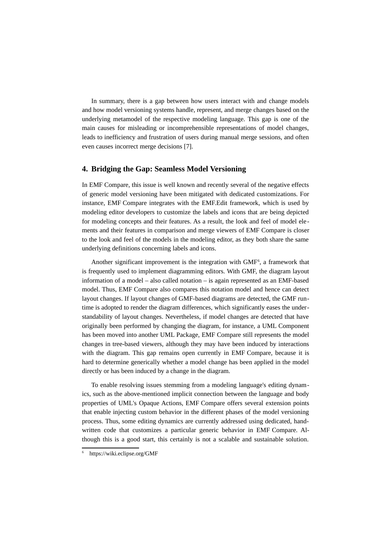In summary, there is a gap between how users interact with and change models and how model versioning systems handle, represent, and merge changes based on the underlying metamodel of the respective modeling language. This gap is one of the main causes for misleading or incomprehensible representations of model changes, leads to inefficiency and frustration of users during manual merge sessions, and often even causes incorrect merge decisions [7].

#### **4. Bridging the Gap: Seamless Model Versioning**

In EMF Compare, this issue is well known and recently several of the negative effects of generic model versioning have been mitigated with dedicated customizations. For instance, EMF Compare integrates with the EMF.Edit framework, which is used by modeling editor developers to customize the labels and icons that are being depicted for modeling concepts and their features. As a result, the look and feel of model elements and their features in comparison and merge viewers of EMF Compare is closer to the look and feel of the models in the modeling editor, as they both share the same underlying definitions concerning labels and icons.

Another significant improvement is the integration with  $GMF<sup>6</sup>$  $GMF<sup>6</sup>$  $GMF<sup>6</sup>$ , a framework that is frequently used to implement diagramming editors. With GMF, the diagram layout information of a model – also called notation – is again represented as an EMF-based model. Thus, EMF Compare also compares this notation model and hence can detect layout changes. If layout changes of GMF-based diagrams are detected, the GMF runtime is adopted to render the diagram differences, which significantly eases the understandability of layout changes. Nevertheless, if model changes are detected that have originally been performed by changing the diagram, for instance, a UML Component has been moved into another UML Package, EMF Compare still represents the model changes in tree-based viewers, although they may have been induced by interactions with the diagram. This gap remains open currently in EMF Compare, because it is hard to determine generically whether a model change has been applied in the model directly or has been induced by a change in the diagram.

To enable resolving issues stemming from a modeling language's editing dynamics, such as the above-mentioned implicit connection between the language and body properties of UML's Opaque Actions, EMF Compare offers several extension points that enable injecting custom behavior in the different phases of the model versioning process. Thus, some editing dynamics are currently addressed using dedicated, handwritten code that customizes a particular generic behavior in EMF Compare. Although this is a good start, this certainly is not a scalable and sustainable solution.

<span id="page-4-0"></span><sup>6</sup> https://wiki.eclipse.org/GMF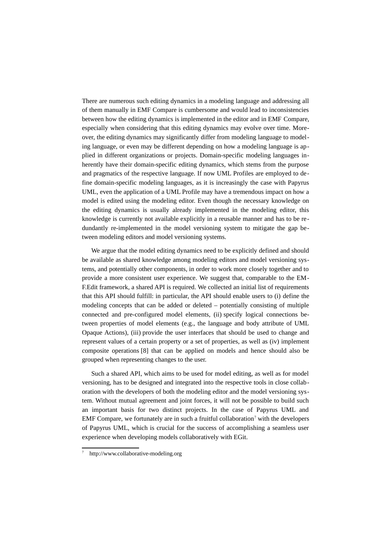There are numerous such editing dynamics in a modeling language and addressing all of them manually in EMF Compare is cumbersome and would lead to inconsistencies between how the editing dynamics is implemented in the editor and in EMF Compare, especially when considering that this editing dynamics may evolve over time. Moreover, the editing dynamics may significantly differ from modeling language to modeling language, or even may be different depending on how a modeling language is applied in different organizations or projects. Domain-specific modeling languages inherently have their domain-specific editing dynamics, which stems from the purpose and pragmatics of the respective language. If now UML Profiles are employed to define domain-specific modeling languages, as it is increasingly the case with Papyrus UML, even the application of a UML Profile may have a tremendous impact on how a model is edited using the modeling editor. Even though the necessary knowledge on the editing dynamics is usually already implemented in the modeling editor, this knowledge is currently not available explicitly in a reusable manner and has to be redundantly re-implemented in the model versioning system to mitigate the gap between modeling editors and model versioning systems.

We argue that the model editing dynamics need to be explicitly defined and should be available as shared knowledge among modeling editors and model versioning systems, and potentially other components, in order to work more closely together and to provide a more consistent user experience. We suggest that, comparable to the EM-F.Edit framework, a shared API is required. We collected an initial list of requirements that this API should fulfill: in particular, the API should enable users to (i) define the modeling concepts that can be added or deleted – potentially consisting of multiple connected and pre-configured model elements, (ii) specify logical connections between properties of model elements (e.g., the language and body attribute of UML Opaque Actions), (iii) provide the user interfaces that should be used to change and represent values of a certain property or a set of properties, as well as (iv) implement composite operations [8] that can be applied on models and hence should also be grouped when representing changes to the user.

Such a shared API, which aims to be used for model editing, as well as for model versioning, has to be designed and integrated into the respective tools in close collaboration with the developers of both the modeling editor and the model versioning system. Without mutual agreement and joint forces, it will not be possible to build such an important basis for two distinct projects. In the case of Papyrus UML and EMF Compare, we fortunately are in such a fruitful collaboration<sup>[7](#page-5-0)</sup> with the developers of Papyrus UML, which is crucial for the success of accomplishing a seamless user experience when developing models collaboratively with EGit.

<span id="page-5-0"></span><sup>7</sup> http://www.collaborative-modeling.org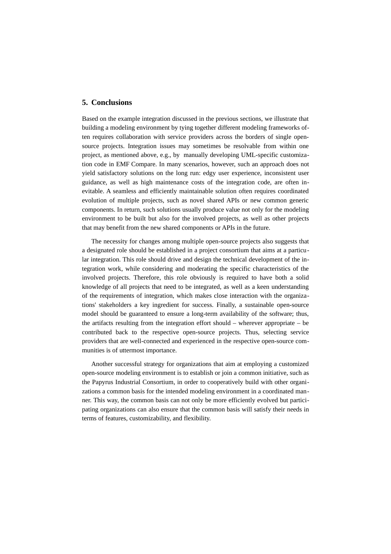#### **5. Conclusions**

Based on the example integration discussed in the previous sections, we illustrate that building a modeling environment by tying together different modeling frameworks often requires collaboration with service providers across the borders of single opensource projects. Integration issues may sometimes be resolvable from within one project, as mentioned above, e.g., by manually developing UML-specific customization code in EMF Compare. In many scenarios, however, such an approach does not yield satisfactory solutions on the long run: edgy user experience, inconsistent user guidance, as well as high maintenance costs of the integration code, are often inevitable. A seamless and efficiently maintainable solution often requires coordinated evolution of multiple projects, such as novel shared APIs or new common generic components. In return, such solutions usually produce value not only for the modeling environment to be built but also for the involved projects, as well as other projects that may benefit from the new shared components or APIs in the future.

The necessity for changes among multiple open-source projects also suggests that a designated role should be established in a project consortium that aims at a particular integration. This role should drive and design the technical development of the integration work, while considering and moderating the specific characteristics of the involved projects. Therefore, this role obviously is required to have both a solid knowledge of all projects that need to be integrated, as well as a keen understanding of the requirements of integration, which makes close interaction with the organizations' stakeholders a key ingredient for success. Finally, a sustainable open-source model should be guaranteed to ensure a long-term availability of the software; thus, the artifacts resulting from the integration effort should – wherever appropriate – be contributed back to the respective open-source projects. Thus, selecting service providers that are well-connected and experienced in the respective open-source communities is of uttermost importance.

Another successful strategy for organizations that aim at employing a customized open-source modeling environment is to establish or join a common initiative, such as the Papyrus Industrial Consortium, in order to cooperatively build with other organizations a common basis for the intended modeling environment in a coordinated manner. This way, the common basis can not only be more efficiently evolved but participating organizations can also ensure that the common basis will satisfy their needs in terms of features, customizability, and flexibility.